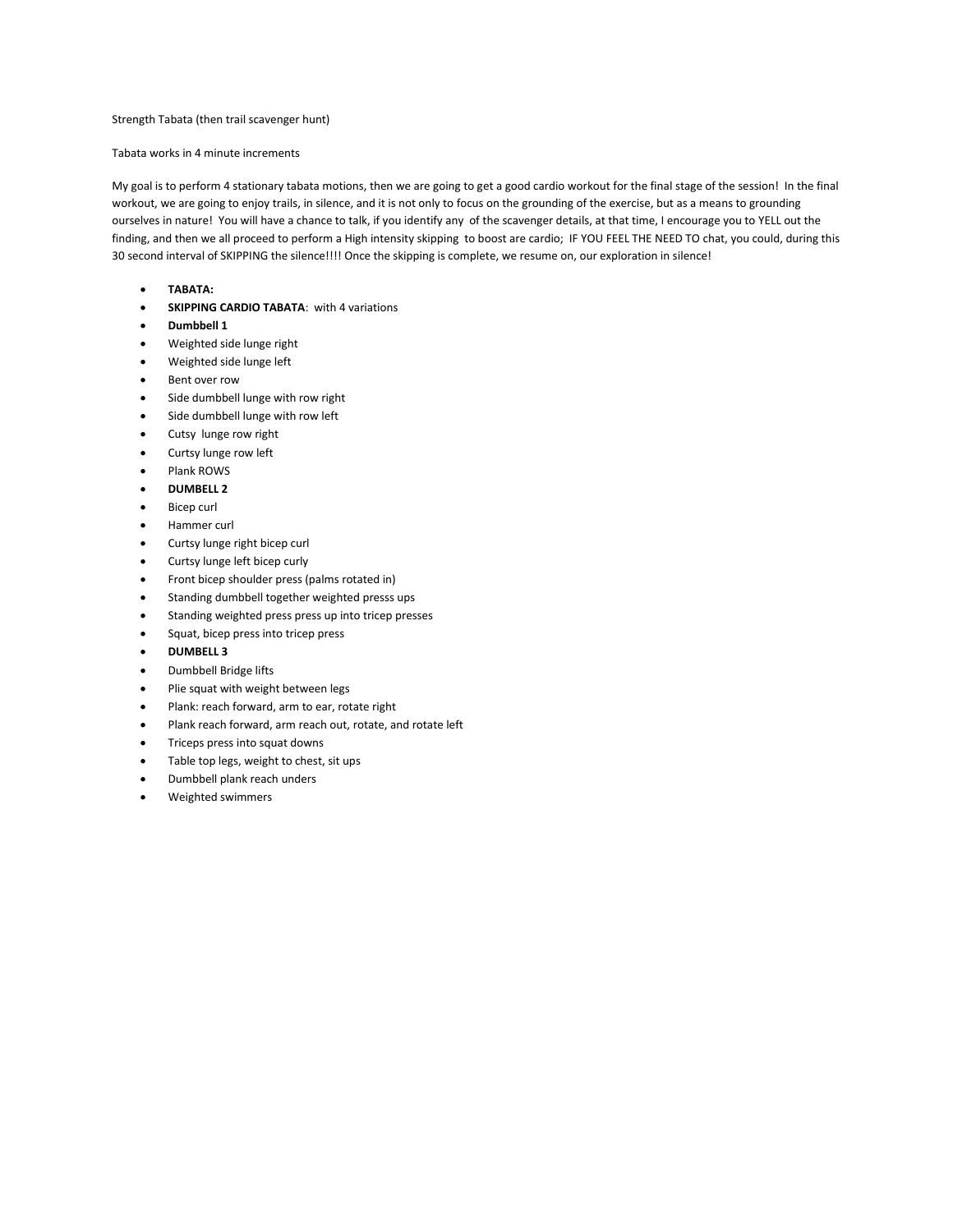## Strength Tabata (then trail scavenger hunt)

## Tabata works in 4 minute increments

My goal is to perform 4 stationary tabata motions, then we are going to get a good cardio workout for the final stage of the session! In the final workout, we are going to enjoy trails, in silence, and it is not only to focus on the grounding of the exercise, but as a means to grounding ourselves in nature! You will have a chance to talk, if you identify any of the scavenger details, at that time, I encourage you to YELL out the finding, and then we all proceed to perform a High intensity skipping to boost are cardio; IF YOU FEEL THE NEED TO chat, you could, during this 30 second interval of SKIPPING the silence!!!! Once the skipping is complete, we resume on, our exploration in silence!

- **TABATA:**
- **SKIPPING CARDIO TABATA:** with 4 variations
- **Dumbbell 1**
- Weighted side lunge right
- Weighted side lunge left
- Bent over row
- Side dumbbell lunge with row right
- Side dumbbell lunge with row left
- Cutsy lunge row right
- Curtsy lunge row left
- Plank ROWS
- **DUMBELL 2**
- Bicep curl
- Hammer curl
- Curtsy lunge right bicep curl
- Curtsy lunge left bicep curly
- Front bicep shoulder press (palms rotated in)
- Standing dumbbell together weighted presss ups
- Standing weighted press press up into tricep presses
- Squat, bicep press into tricep press
- **DUMBELL 3**
- Dumbbell Bridge lifts
- Plie squat with weight between legs
- Plank: reach forward, arm to ear, rotate right
- Plank reach forward, arm reach out, rotate, and rotate left
- Triceps press into squat downs
- Table top legs, weight to chest, sit ups
- Dumbbell plank reach unders
- Weighted swimmers